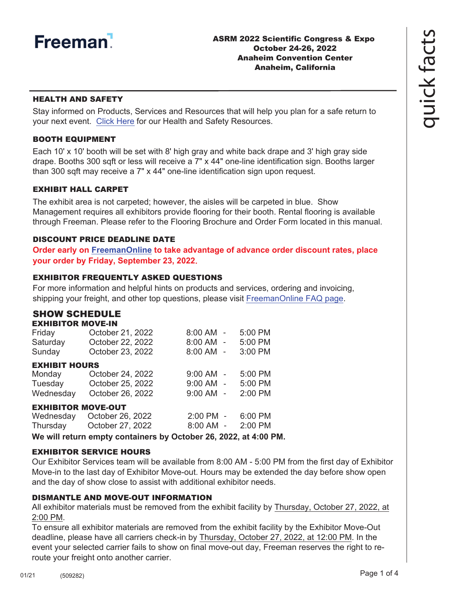

# HEALTH AND SAFETY

Stay informed on Products, Services and Resources that will help you plan for a safe return to your next event. [Click Here](https://www.freeman.com/resources/collection/how-to-safely-return-to-exhibiting/) for our Health and Safety Resources.

# BOOTH EQUIPMENT

Each 10' x 10' booth will be set with 8' high gray and white back drape and 3' high gray side drape. Booths 300 sqft or less will receive a 7" x 44" one-line identification sign. Booths larger than 300 sqft may receive a 7" x 44" one-line identification sign upon request.

# EXHIBIT HALL CARPET

The exhibit area is not carpeted; however, the aisles will be carpeted in blue. Show Management requires all exhibitors provide flooring for their booth. Rental flooring is available through Freeman. Please refer to the Flooring Brochure and Order Form located in this manual.

# DISCOUNT PRICE DEADLINE DATE

**Order early on [FreemanOnline](https://www.freemanco.com/store?utm_source=Forms&utm_medium=PDF) to take advantage of advance order discount rates, place your order by Friday, September 23, 2022**.

# EXHIBITOR FREQUENTLY ASKED QUESTIONS

For more information and helpful hints on products and services, ordering and invoicing, shipping your freight, and other top questions, please visit [FreemanOnline FAQ page](https://www.freemanco.com/store/faqs).

# SHOW SCHEDULE

| <b>EXHIBITOR MOVE-IN</b>  |                  |             |         |
|---------------------------|------------------|-------------|---------|
| Friday                    | October 21, 2022 | 8:00 AM -   | 5:00 PM |
| Saturday                  | October 22, 2022 | 8:00 AM -   | 5:00 PM |
| Sunday                    | October 23, 2022 | 8:00 AM -   | 3:00 PM |
| <b>EXHIBIT HOURS</b>      |                  |             |         |
| Monday                    | October 24, 2022 | $9:00$ AM - | 5:00 PM |
| Tuesday                   | October 25, 2022 | $9:00$ AM - | 5:00 PM |
| Wednesday                 | October 26, 2022 | $9:00$ AM - | 2:00 PM |
| <b>EXHIBITOR MOVE-OUT</b> |                  |             |         |
| Wednesday                 | October 26, 2022 | 2:00 PM -   | 6:00 PM |
| Thursday                  | October 27, 2022 | 8:00 AM -   | 2:00 PM |

**We will return empty containers by October 26, 2022, at 4:00 PM.**

#### EXHIBITOR SERVICE HOURS

Our Exhibitor Services team will be available from 8:00 AM - 5:00 PM from the first day of Exhibitor Move-in to the last day of Exhibitor Move-out. Hours may be extended the day before show open and the day of show close to assist with additional exhibitor needs.

# DISMANTLE AND MOVE-OUT INFORMATION

All exhibitor materials must be removed from the exhibit facility by Thursday, October 27, 2022, at 2:00 PM.

To ensure all exhibitor materials are removed from the exhibit facility by the Exhibitor Move-Out deadline, please have all carriers check-in by Thursday, October 27, 2022, at 12:00 PM. In the event your selected carrier fails to show on final move-out day, Freeman reserves the right to reroute your freight onto another carrier.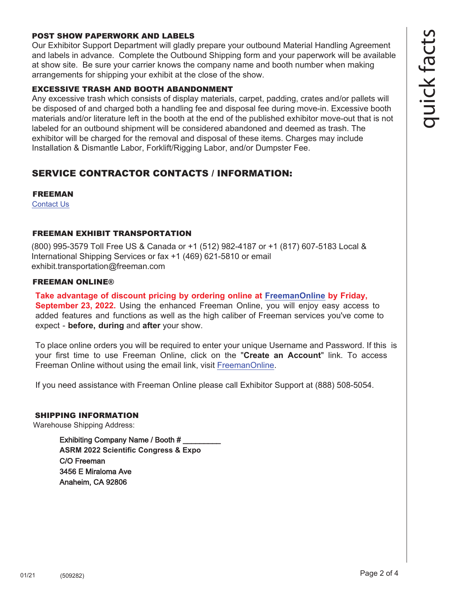# quick facts

# POST SHOW PAPERWORK AND LABELS

Our Exhibitor Support Department will gladly prepare your outbound Material Handling Agreement and labels in advance. Complete the Outbound Shipping form and your paperwork will be available at show site. Be sure your carrier knows the company name and booth number when making arrangements for shipping your exhibit at the close of the show.

#### EXCESSIVE TRASH AND BOOTH ABANDONMENT

Any excessive trash which consists of display materials, carpet, padding, crates and/or pallets will be disposed of and charged both a handling fee and disposal fee during move-in. Excessive booth materials and/or literature left in the booth at the end of the published exhibitor move-out that is not labeled for an outbound shipment will be considered abandoned and deemed as trash. The exhibitor will be charged for the removal and disposal of these items. Charges may include Installation & Dismantle Labor, Forklift/Rigging Labor, and/or Dumpster Fee.

# SERVICE CONTRACTOR CONTACTS / INFORMATION:

FREEMAN

[Contact Us](https://www.freemanco.com/store/faqs#contactUS)

# FREEMAN EXHIBIT TRANSPORTATION

(800) 995-3579 Toll Free US & Canada or +1 (512) 982-4187 or +1 (817) 607-5183 Local & International Shipping Services or fax +1 (469) 621-5810 or email exhibit.transportation@freeman.com

#### FREEMAN ONLINE®

**Take advantage of discount pricing by ordering online at [FreemanOnline](https://www.freemanco.com/store?utm_source=Forms&utm_medium=PDF) by Friday, September 23, 2022.** Using the enhanced Freeman Online, you will enjoy easy access to added features and functions as well as the high caliber of Freeman services you've come to expect - **before, during** and **after** your show.

To place online orders you will be required to enter your unique Username and Password. If this is your first time to use Freeman Online, click on the "**Create an Account**" link. To access Freeman Online without using the email link, visit [FreemanOnline](https://www.freemanco.com/store?utm_source=Forms&utm_medium=PDF).

If you need assistance with Freeman Online please call Exhibitor Support at (888) 508-5054.

#### SHIPPING INFORMATION

Warehouse Shipping Address:

Exhibiting Company Name / Booth # **ASRM 2022 Scientific Congress & Expo** C/O Freeman 3456 E Miraloma Ave Anaheim, CA 92806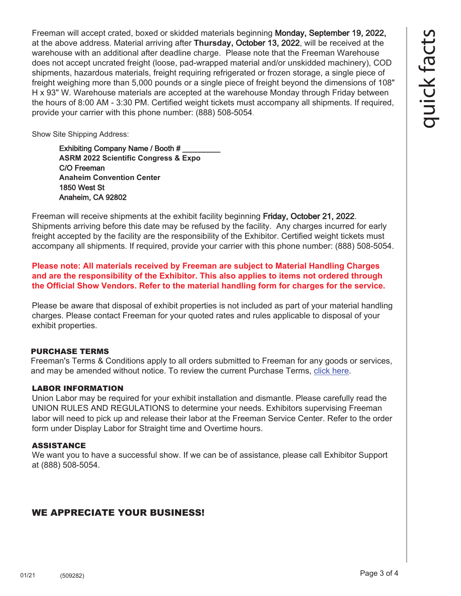Freeman will accept crated, boxed or skidded materials beginning Monday, September 19, 2022, at the above address. Material arriving after **Thursday,** October 13, 2022, will be received at the warehouse with an additional after deadline charge. Please note that the Freeman Warehouse does not accept uncrated freight (loose, pad-wrapped material and/or unskidded machinery), COD shipments, hazardous materials, freight requiring refrigerated or frozen storage, a single piece of freight weighing more than 5,000 pounds or a single piece of freight beyond the dimensions of 108" H x 93" W. Warehouse materials are accepted at the warehouse Monday through Friday between the hours of 8:00 AM - 3:30 PM. Certified weight tickets must accompany all shipments. If required, provide your carrier with this phone number: (888) 508-5054.

Show Site Shipping Address:

Exhibiting Company Name / Booth # \_\_\_\_\_\_\_\_\_ **ASRM 2022 Scientific Congress & Expo** C/O Freeman **Anaheim Convention Center** 1850 West St Anaheim, CA 92802

Freeman will receive shipments at the exhibit facility beginning Friday, October 21, 2022. Shipments arriving before this date may be refused by the facility. Any charges incurred for early freight accepted by the facility are the responsibility of the Exhibitor. Certified weight tickets must accompany all shipments. If required, provide your carrier with this phone number: (888) 508-5054.

**Please note: All materials received by Freeman are subject to Material Handling Charges and are the responsibility of the Exhibitor. This also applies to items not ordered through the Official Show Vendors. Refer to the material handling form for charges for the service.** 

Please be aware that disposal of exhibit properties is not included as part of your material handling charges. Please contact Freeman for your quoted rates and rules applicable to disposal of your exhibit properties.

#### PURCHASE TERMS

Freeman's Terms & Conditions apply to all orders submitted to Freeman for any goods or services, and may be amended without notice. To review the current Purchase Terms, [click here.](https://www.freemanco.com/store/footerPages/footerPagesProfileFrame.jsp?page=purcha seTerms&_ga=2.176437029.1419744130.1584226036-1715307741.1584226036)

#### LABOR INFORMATION

Union Labor may be required for your exhibit installation and dismantle. Please carefully read the UNION RULES AND REGULATIONS to determine your needs. Exhibitors supervising Freeman labor will need to pick up and release their labor at the Freeman Service Center. Refer to the order form under Display Labor for Straight time and Overtime hours.

#### ASSISTANCE

We want you to have a successful show. If we can be of assistance, please call Exhibitor Support at (888) 508-5054.

# WE APPRECIATE YOUR BUSINESS!

quick facts